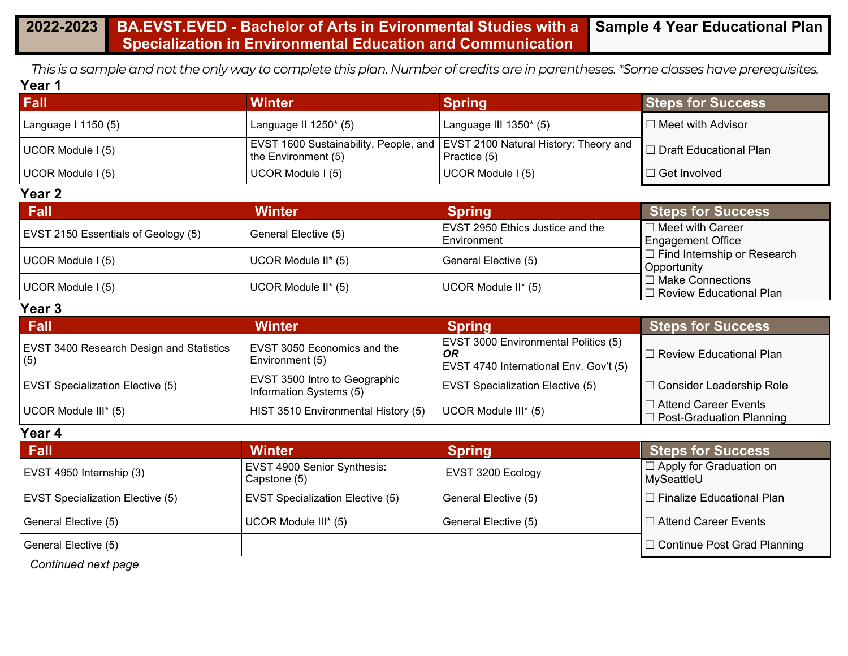#### **2022-2023 BA.EVST.EVED - Bachelor of Arts in Evironmental Studies with a Specialization in Environmental Education and Communication Sample 4 Year Educational Plan**

*This is a sample and not the only way to complete this plan. Number of credits are in parentheses. \*Some classes have prerequisites.* **Year 1**

| Fall                | Winter                   | <b>Spring</b>                                                                                 | <b>Steps for Success</b>          |
|---------------------|--------------------------|-----------------------------------------------------------------------------------------------|-----------------------------------|
| Language I 1150 (5) | Language II $1250^*$ (5) | Language III 1350* (5)                                                                        | $\Box$ Meet with Advisor          |
| UCOR Module I (5)   | the Environment (5)      | EVST 1600 Sustainability, People, and   EVST 2100 Natural History: Theory and<br>Practice (5) | <b>I</b> □ Draft Educational Plan |
| UCOR Module I (5)   | UCOR Module I (5)        | UCOR Module I (5)                                                                             | $\Box$ Get Involved               |

#### **Year 2**

| Fall                                | <b>Winter</b>        | <b>Spring</b>                                          | <b>Steps for Success</b>                             |
|-------------------------------------|----------------------|--------------------------------------------------------|------------------------------------------------------|
| EVST 2150 Essentials of Geology (5) | General Elective (5) | <b>EVST 2950 Ethics Justice and the</b><br>Environment | $\Box$ Meet with Career<br>Engagement Office         |
| UCOR Module I (5)                   | UCOR Module II* (5)  | General Elective (5)                                   | $\Box$ Find Internship or Research<br>Opportunity    |
| UCOR Module I (5)                   | UCOR Module II* (5)  | UCOR Module II* (5)                                    | □ Make Connections<br>$\Box$ Review Educational Plan |

#### **Year 3**

| <b>Fall</b>                                            | <b>Winter</b>                                            | <b>Spring</b>                                                                               | <b>Steps for Success</b>                                       |
|--------------------------------------------------------|----------------------------------------------------------|---------------------------------------------------------------------------------------------|----------------------------------------------------------------|
| <b>EVST 3400 Research Design and Statistics</b><br>(5) | EVST 3050 Economics and the<br>Environment (5)           | EVST 3000 Environmental Politics (5)<br><b>OR</b><br>EVST 4740 International Env. Gov't (5) | $\Box$ Review Educational Plan                                 |
| <b>EVST Specialization Elective (5)</b>                | EVST 3500 Intro to Geographic<br>Information Systems (5) | <b>EVST Specialization Elective (5)</b>                                                     | □ Consider Leadership Role                                     |
| UCOR Module III* (5)                                   | HIST 3510 Environmental History (5)                      | UCOR Module III* (5)                                                                        | $\Box$ Attend Career Events<br>$\Box$ Post-Graduation Planning |

#### **Year 4**

| <b>Fall</b>                             | <b>Winter</b>                               | <b>Spring</b>        | <b>Steps for Success</b>                     |
|-----------------------------------------|---------------------------------------------|----------------------|----------------------------------------------|
| EVST 4950 Internship (3)                | EVST 4900 Senior Synthesis:<br>Capstone (5) | EVST 3200 Ecology    | $\Box$ Apply for Graduation on<br>MySeattleU |
| <b>EVST Specialization Elective (5)</b> | <b>EVST Specialization Elective (5)</b>     | General Elective (5) | $\Box$ Finalize Educational Plan             |
| General Elective (5)                    | UCOR Module III* (5)                        | General Elective (5) | I □ Attend Career Events                     |
| General Elective (5)                    |                                             |                      | □ Continue Post Grad Planning                |

*Continued next page*